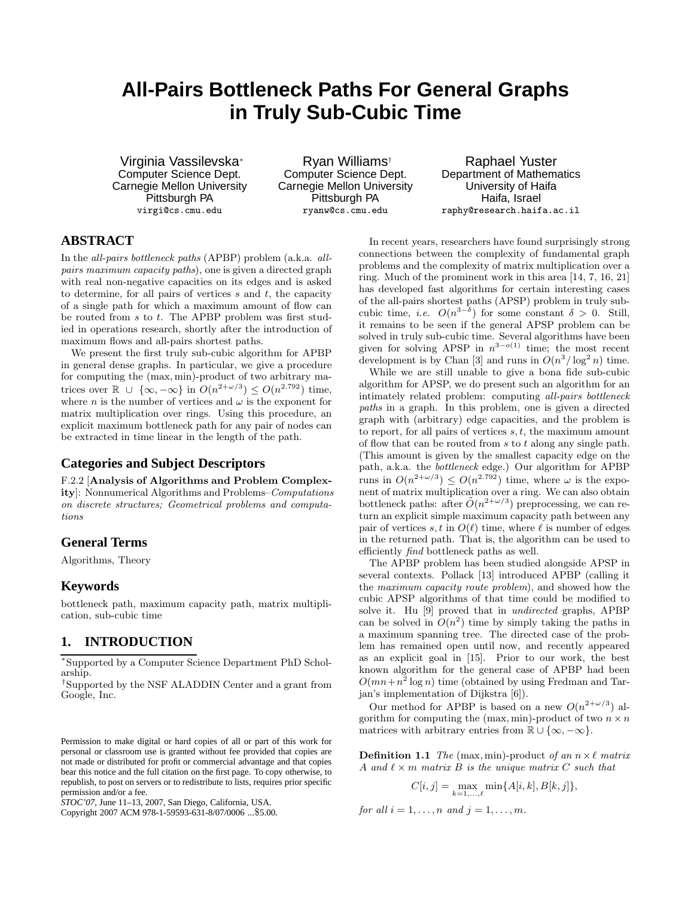# **All-Pairs Bottleneck Paths For General Graphs in Truly Sub-Cubic Time**

Virginia Vassilevska<sup>∗</sup> Computer Science Dept. Carnegie Mellon University Pittsburgh PA virgi@cs.cmu.edu

Ryan Williams† Computer Science Dept. Carnegie Mellon University Pittsburgh PA ryanw@cs.cmu.edu

Raphael Yuster Department of Mathematics University of Haifa Haifa, Israel raphy@research.haifa.ac.il

## **ABSTRACT**

In the all-pairs bottleneck paths (APBP) problem (a.k.a. allpairs maximum capacity paths), one is given a directed graph with real non-negative capacities on its edges and is asked to determine, for all pairs of vertices  $s$  and  $t$ , the capacity of a single path for which a maximum amount of flow can be routed from s to t. The APBP problem was first studied in operations research, shortly after the introduction of maximum flows and all-pairs shortest paths.

We present the first truly sub-cubic algorithm for APBP in general dense graphs. In particular, we give a procedure for computing the (max, min)-product of two arbitrary matrices over  $\mathbb{R} \cup \{ \infty, -\infty \}$  in  $O(n^{2+\omega/3}) \leq O(n^{2.792})$  time, where *n* is the number of vertices and  $\omega$  is the exponent for matrix multiplication over rings. Using this procedure, an explicit maximum bottleneck path for any pair of nodes can be extracted in time linear in the length of the path.

## **Categories and Subject Descriptors**

F.2.2 [Analysis of Algorithms and Problem Complexity]: Nonnumerical Algorithms and Problems–Computations on discrete structures; Geometrical problems and computations

## **General Terms**

Algorithms, Theory

## **Keywords**

bottleneck path, maximum capacity path, matrix multiplication, sub-cubic time

# **1. INTRODUCTION**

∗Supported by a Computer Science Department PhD Scholarship.

†Supported by the NSF ALADDIN Center and a grant from Google, Inc.

Copyright 2007 ACM 978-1-59593-631-8/07/0006 ...\$5.00.

In recent years, researchers have found surprisingly strong connections between the complexity of fundamental graph problems and the complexity of matrix multiplication over a ring. Much of the prominent work in this area [14, 7, 16, 21] has developed fast algorithms for certain interesting cases of the all-pairs shortest paths (APSP) problem in truly subcubic time, *i.e.*  $O(n^{3-\delta})$  for some constant  $\delta > 0$ . Still, it remains to be seen if the general APSP problem can be solved in truly sub-cubic time. Several algorithms have been given for solving APSP in  $n^{3-o(1)}$  time; the most recent development is by Chan [3] and runs in  $O(n^3/\log^2 n)$  time.

While we are still unable to give a bona fide sub-cubic algorithm for APSP, we do present such an algorithm for an intimately related problem: computing all-pairs bottleneck paths in a graph. In this problem, one is given a directed graph with (arbitrary) edge capacities, and the problem is to report, for all pairs of vertices  $s, t$ , the maximum amount of flow that can be routed from s to t along any single path. (This amount is given by the smallest capacity edge on the path, a.k.a. the bottleneck edge.) Our algorithm for APBP runs in  $O(n^{2+\omega/3}) \leq O(n^{2.792})$  time, where  $\omega$  is the exponent of matrix multiplication over a ring. We can also obtain bottleneck paths: after  $\tilde{O}(n^{2+\omega/3})$  preprocessing, we can return an explicit simple maximum capacity path between any pair of vertices s, t in  $O(\ell)$  time, where  $\ell$  is number of edges in the returned path. That is, the algorithm can be used to efficiently find bottleneck paths as well.

The APBP problem has been studied alongside APSP in several contexts. Pollack [13] introduced APBP (calling it the maximum capacity route problem), and showed how the cubic APSP algorithms of that time could be modified to solve it. Hu [9] proved that in undirected graphs, APBP can be solved in  $O(n^2)$  time by simply taking the paths in a maximum spanning tree. The directed case of the problem has remained open until now, and recently appeared as an explicit goal in [15]. Prior to our work, the best known algorithm for the general case of APBP had been  $O(mn+n^2 \log n)$  time (obtained by using Fredman and Tarjan's implementation of Dijkstra [6]).

Our method for APBP is based on a new  $O(n^{2+\omega/3})$  algorithm for computing the (max, min)-product of two  $n \times n$ matrices with arbitrary entries from  $\mathbb{R} \cup {\infty, -\infty}$ .

**Definition 1.1** The (max, min)-product of an  $n \times \ell$  matrix A and  $\ell \times m$  matrix B is the unique matrix C such that

$$
C[i, j] = \max_{k=1,\dots,\ell} \min\{A[i, k], B[k, j]\},\
$$

for all  $i = 1, \ldots, n$  and  $j = 1, \ldots, m$ .

Permission to make digital or hard copies of all or part of this work for personal or classroom use is granted without fee provided that copies are not made or distributed for profit or commercial advantage and that copies bear this notice and the full citation on the first page. To copy otherwise, to republish, to post on servers or to redistribute to lists, requires prior specific permission and/or a fee.

*STOC'07,* June 11–13, 2007, San Diego, California, USA.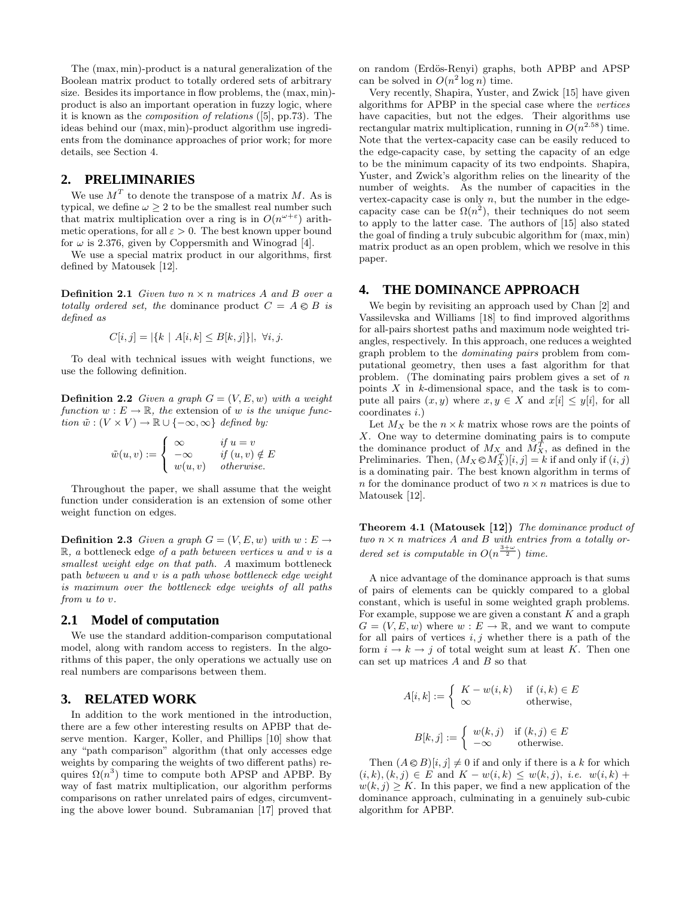The (max, min)-product is a natural generalization of the Boolean matrix product to totally ordered sets of arbitrary size. Besides its importance in flow problems, the (max, min) product is also an important operation in fuzzy logic, where it is known as the composition of relations ([5], pp.73). The ideas behind our (max, min)-product algorithm use ingredients from the dominance approaches of prior work; for more details, see Section 4.

#### **2. PRELIMINARIES**

We use  $M<sup>T</sup>$  to denote the transpose of a matrix M. As is typical, we define  $\omega \geq 2$  to be the smallest real number such that matrix multiplication over a ring is in  $O(n^{\omega+\epsilon})$  arithmetic operations, for all  $\varepsilon > 0$ . The best known upper bound for  $\omega$  is 2.376, given by Coppersmith and Winograd [4].

We use a special matrix product in our algorithms, first defined by Matousek [12].

**Definition 2.1** Given two  $n \times n$  matrices A and B over a totally ordered set, the dominance product  $C = A \otimes B$  is defined as

$$
C[i, j] = |\{k \mid A[i, k] \le B[k, j]\}|, \ \forall i, j.
$$

To deal with technical issues with weight functions, we use the following definition.

**Definition 2.2** Given a graph  $G = (V, E, w)$  with a weight function  $w : E \to \mathbb{R}$ , the extension of w is the unique function  $\tilde{w}: (V \times V) \to \mathbb{R} \cup \{-\infty, \infty\}$  defined by:

$$
\tilde{w}(u,v) := \begin{cases}\n\infty & \text{if } u = v \\
-\infty & \text{if } (u,v) \notin E \\
w(u,v) & \text{otherwise.} \n\end{cases}
$$

Throughout the paper, we shall assume that the weight function under consideration is an extension of some other weight function on edges.

**Definition 2.3** Given a graph  $G = (V, E, w)$  with  $w : E \rightarrow$  $\mathbb{R}$ , a bottleneck edge of a path between vertices u and v is a smallest weight edge on that path. A maximum bottleneck path between u and v is a path whose bottleneck edge weight is maximum over the bottleneck edge weights of all paths from u to v.

#### **2.1 Model of computation**

We use the standard addition-comparison computational model, along with random access to registers. In the algorithms of this paper, the only operations we actually use on real numbers are comparisons between them.

## **3. RELATED WORK**

In addition to the work mentioned in the introduction, there are a few other interesting results on APBP that deserve mention. Karger, Koller, and Phillips [10] show that any "path comparison" algorithm (that only accesses edge weights by comparing the weights of two different paths) requires  $\Omega(n^3)$  time to compute both APSP and APBP. By way of fast matrix multiplication, our algorithm performs comparisons on rather unrelated pairs of edges, circumventing the above lower bound. Subramanian [17] proved that on random (Erd¨os-Renyi) graphs, both APBP and APSP can be solved in  $O(n^2 \log n)$  time.

Very recently, Shapira, Yuster, and Zwick [15] have given algorithms for APBP in the special case where the vertices have capacities, but not the edges. Their algorithms use rectangular matrix multiplication, running in  $O(n^{2.58})$  time. Note that the vertex-capacity case can be easily reduced to the edge-capacity case, by setting the capacity of an edge to be the minimum capacity of its two endpoints. Shapira, Yuster, and Zwick's algorithm relies on the linearity of the number of weights. As the number of capacities in the vertex-capacity case is only  $n$ , but the number in the edgecapacity case can be  $\Omega(n^2)$ , their techniques do not seem to apply to the latter case. The authors of [15] also stated the goal of finding a truly subcubic algorithm for (max, min) matrix product as an open problem, which we resolve in this paper.

### **4. THE DOMINANCE APPROACH**

We begin by revisiting an approach used by Chan [2] and Vassilevska and Williams [18] to find improved algorithms for all-pairs shortest paths and maximum node weighted triangles, respectively. In this approach, one reduces a weighted graph problem to the dominating pairs problem from computational geometry, then uses a fast algorithm for that problem. (The dominating pairs problem gives a set of  $n$ points  $X$  in  $k$ -dimensional space, and the task is to compute all pairs  $(x, y)$  where  $x, y \in X$  and  $x[i] \leq y[i]$ , for all coordinates i.)

Let  $M_X$  be the  $n \times k$  matrix whose rows are the points of X. One way to determine dominating pairs is to compute the dominance product of  $M_{X_{\rm m}}$  and  $M_X^T$ , as defined in the Preliminaries. Then,  $(M_X \otimes M_X^T)[i, j] = k$  if and only if  $(i, j)$ is a dominating pair. The best known algorithm in terms of n for the dominance product of two  $n \times n$  matrices is due to Matousek [12].

Theorem 4.1 (Matousek [12]) The dominance product of two  $n \times n$  matrices A and B with entries from a totally ordered set is computable in  $O(n^{\frac{3+\omega}{2}})$  time.

A nice advantage of the dominance approach is that sums of pairs of elements can be quickly compared to a global constant, which is useful in some weighted graph problems. For example, suppose we are given a constant  $K$  and a graph  $G = (V, E, w)$  where  $w : E \to \mathbb{R}$ , and we want to compute for all pairs of vertices  $i, j$  whether there is a path of the form  $i \to k \to j$  of total weight sum at least K. Then one can set up matrices  $A$  and  $B$  so that

$$
A[i, k] := \begin{cases} K - w(i, k) & \text{if } (i, k) \in E \\ \infty & \text{otherwise,} \end{cases}
$$

$$
B[k, j] := \begin{cases} w(k, j) & \text{if } (k, j) \in E \\ -\infty & \text{otherwise.} \end{cases}
$$

Then  $(A \otimes B)[i, j] \neq 0$  if and only if there is a k for which  $(i, k), (k, j) \in E$  and  $K - w(i, k) \leq w(k, j), i.e. w(i, k) +$  $w(k, j) \geq K$ . In this paper, we find a new application of the dominance approach, culminating in a genuinely sub-cubic algorithm for APBP.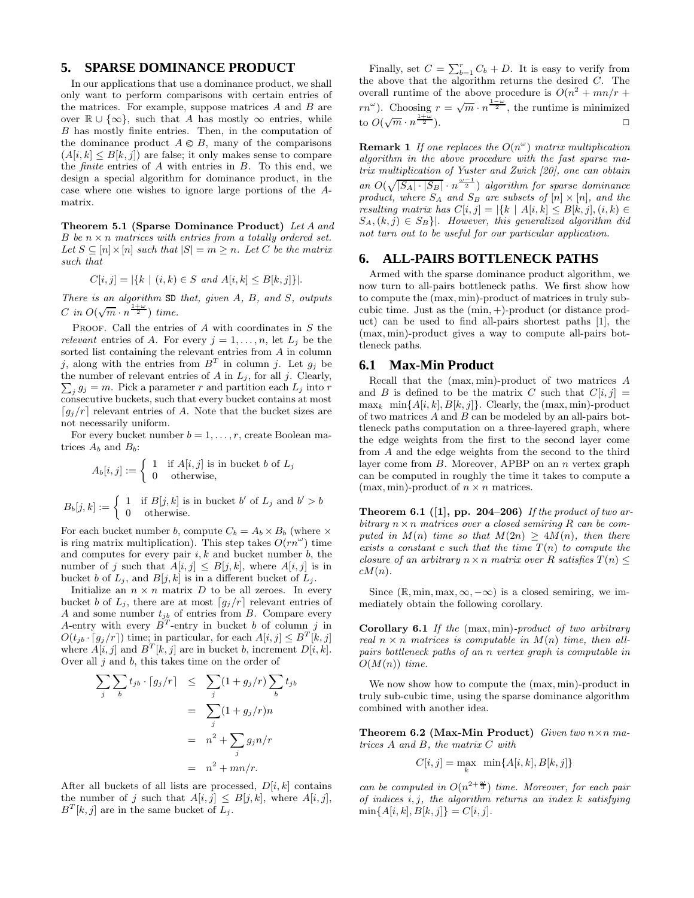### **5. SPARSE DOMINANCE PRODUCT**

In our applications that use a dominance product, we shall only want to perform comparisons with certain entries of the matrices. For example, suppose matrices  $A$  and  $B$  are over  $\mathbb{R} \cup \{\infty\}$ , such that A has mostly  $\infty$  entries, while B has mostly finite entries. Then, in the computation of the dominance product  $A \otimes B$ , many of the comparisons  $(A[i, k] \leq B[k, j])$  are false; it only makes sense to compare the *finite* entries of  $A$  with entries in  $B$ . To this end, we design a special algorithm for dominance product, in the case where one wishes to ignore large portions of the Amatrix.

Theorem 5.1 (Sparse Dominance Product) Let A and B be  $n \times n$  matrices with entries from a totally ordered set. Let  $S \subseteq [n] \times [n]$  such that  $|S| = m \geq n$ . Let C be the matrix such that

$$
C[i,j] = |\{k \mid (i,k) \in S \text{ and } A[i,k] \leq B[k,j]\}|.
$$

There is an algorithm SD that, given A, B, and S, outputs C in  $O(\sqrt{m} \cdot n^{\frac{1+\omega}{2}})$  time.

PROOF. Call the entries of  $A$  with coordinates in  $S$  the relevant entries of A. For every  $j = 1, \ldots, n$ , let  $L_j$  be the sorted list containing the relevant entries from A in column j, along with the entries from  $B<sup>T</sup>$  in column j. Let  $g_j$  be  $\sum_{j} g_j = m$ . Pick a parameter r and partition each  $L_j$  into r the number of relevant entries of  $A$  in  $L_j$ , for all  $j$ . Clearly, consecutive buckets, such that every bucket contains at most  $\lceil g_j/r \rceil$  relevant entries of A. Note that the bucket sizes are not necessarily uniform.

For every bucket number  $b = 1, \ldots, r$ , create Boolean matrices  $A_b$  and  $B_b$ :

$$
A_b[i,j] := \begin{cases} 1 & \text{if } A[i,j] \text{ is in bucket } b \text{ of } L_j \\ 0 & \text{otherwise,} \end{cases}
$$

$$
B_b[j, k] := \begin{cases} 1 & \text{if } B[j, k] \text{ is in bucket } b' \text{ of } L_j \text{ and } b' > b \\ 0 & \text{otherwise.} \end{cases}
$$

For each bucket number b, compute  $C_b = A_b \times B_b$  (where  $\times$ is ring matrix multiplication). This step takes  $O(rn^{\omega})$  time and computes for every pair  $i, k$  and bucket number  $b$ , the number of j such that  $A[i, j] \leq B[j, k]$ , where  $A[i, j]$  is in bucket b of  $L_j$ , and  $B[j, k]$  is in a different bucket of  $L_j$ .

Initialize an  $n \times n$  matrix D to be all zeroes. In every bucket b of  $L_j$ , there are at most  $\lceil g_j/r \rceil$  relevant entries of A and some number  $t_{jb}$  of entries from B. Compare every A-entry with every  $B<sup>T</sup>$ -entry in bucket b of column j in  $O(t_{jb} \cdot [g_j/r])$  time; in particular, for each  $A[i, j] \leq B^T[k, j]$ where  $A[i, j]$  and  $B<sup>T</sup>[k, j]$  are in bucket b, increment  $D[i, k]$ . Over all  $j$  and  $b$ , this takes time on the order of

$$
\sum_{j} \sum_{b} t_{jb} \cdot \lceil g_j/r \rceil \leq \sum_{j} (1 + g_j/r) \sum_{b} t_{jb}
$$

$$
= \sum_{j} (1 + g_j/r)n
$$

$$
= n^2 + \sum_{j} g_j n/r
$$

$$
= n^2 + mn/r.
$$

After all buckets of all lists are processed,  $D[i, k]$  contains the number of j such that  $A[i, j] \leq B[j, k]$ , where  $A[i, j]$ ,  $B<sup>T</sup>[k, j]$  are in the same bucket of  $L_j$ .

Finally, set  $C = \sum_{b=1}^{r} C_b + D$ . It is easy to verify from the above that the algorithm returns the desired C. The overall runtime of the above procedure is  $O(n^2 + mn/r +$  $r n^{\omega}$ ). Choosing  $r = \sqrt{m} \cdot n^{\frac{1-\omega}{2}}$ , the runtime is minimized to  $O(\sqrt{m} \cdot n^{\frac{1+\omega}{2}})$  $\frac{+\omega}{2}$ ).

**Remark 1** If one replaces the  $O(n^{\omega})$  matrix multiplication algorithm in the above procedure with the fast sparse matrix multiplication of Yuster and Zwick [20], one can obtain an  $O(\sqrt{|S_A| \cdot |S_B|} \cdot n^{\frac{\omega-1}{2}})$  algorithm for sparse dominance product, where  $S_A$  and  $S_B$  are subsets of  $[n] \times [n]$ , and the resulting matrix has  $C[i, j] = |\{k \mid A[i, k] \leq B[k, j], (i, k) \in$  $S_A, (k, j) \in S_B$ . However, this generalized algorithm did not turn out to be useful for our particular application.

## **6. ALL-PAIRS BOTTLENECK PATHS**

Armed with the sparse dominance product algorithm, we now turn to all-pairs bottleneck paths. We first show how to compute the (max, min)-product of matrices in truly subcubic time. Just as the (min, +)-product (or distance product) can be used to find all-pairs shortest paths [1], the (max, min)-product gives a way to compute all-pairs bottleneck paths.

#### **6.1 Max-Min Product**

Recall that the (max, min)-product of two matrices A and B is defined to be the matrix C such that  $C[i, j] =$  $\max_k \min\{A[i, k], B[k, j]\}.$  Clearly, the (max, min)-product of two matrices  $A$  and  $B$  can be modeled by an all-pairs bottleneck paths computation on a three-layered graph, where the edge weights from the first to the second layer come from A and the edge weights from the second to the third layer come from  $B$ . Moreover, APBP on an  $n$  vertex graph can be computed in roughly the time it takes to compute a (max, min)-product of  $n \times n$  matrices.

Theorem 6.1 ([1], pp. 204-206) If the product of two arbitrary  $n \times n$  matrices over a closed semiring R can be computed in  $M(n)$  time so that  $M(2n) > 4M(n)$ , then there exists a constant c such that the time  $T(n)$  to compute the closure of an arbitrary  $n \times n$  matrix over R satisfies  $T(n) \leq$  $cM(n)$ .

Since  $(\mathbb{R}, \min, \max, \infty, -\infty)$  is a closed semiring, we immediately obtain the following corollary.

Corollary 6.1 If the (max, min)-product of two arbitrary real  $n \times n$  matrices is computable in  $M(n)$  time, then allpairs bottleneck paths of an n vertex graph is computable in  $O(M(n))$  time.

We now show how to compute the (max, min)-product in truly sub-cubic time, using the sparse dominance algorithm combined with another idea.

Theorem 6.2 (Max-Min Product) Given two  $n \times n$  matrices A and B, the matrix C with

$$
C[i,j] = \max_{k} \ \min\{A[i,k], B[k,j]\}
$$

can be computed in  $O(n^{2+\frac{\omega}{3}})$  time. Moreover, for each pair of indices  $i, j$ , the algorithm returns an index  $k$  satisfying  $\min\{A[i, k], B[k, j]\} = C[i, j].$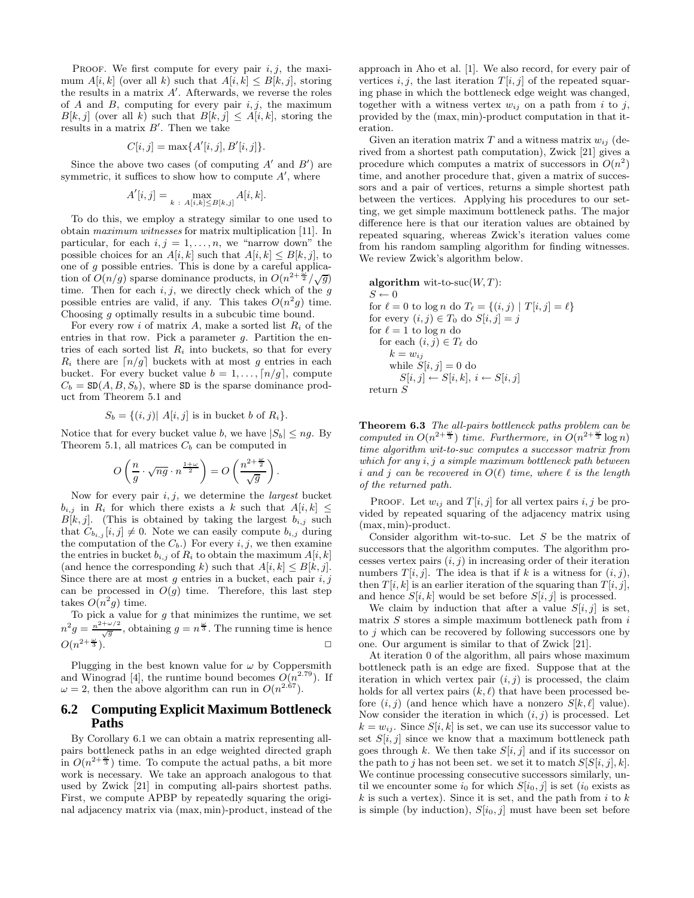PROOF. We first compute for every pair  $i, j$ , the maximum  $A[i, k]$  (over all k) such that  $A[i, k] \leq B[k, j]$ , storing the results in a matrix  $A'$ . Afterwards, we reverse the roles of A and B, computing for every pair  $i, j$ , the maximum  $B[k, j]$  (over all k) such that  $B[k, j] \leq A[i, k]$ , storing the results in a matrix  $B'$ . Then we take

$$
C[i, j] = \max\{A'[i, j], B'[i, j]\}.
$$

Since the above two cases (of computing  $A'$  and  $B'$ ) are symmetric, it suffices to show how to compute  $A'$ , where

$$
A'[i,j] = \max_{k \ : \ A[i,k] \le B[k,j]} A[i,k].
$$

To do this, we employ a strategy similar to one used to obtain maximum witnesses for matrix multiplication [11]. In particular, for each  $i, j = 1, \ldots, n$ , we "narrow down" the possible choices for an  $A[i, k]$  such that  $A[i, k] \leq B[k, j]$ , to one of  $g$  possible entries. This is done by a careful application of  $O(n/g)$  sparse dominance products, in  $O(n^{2+\frac{b}{2}}/\sqrt{g})$ time. Then for each  $i, j$ , we directly check which of the  $g$ possible entries are valid, if any. This takes  $O(n^2 g)$  time. Choosing g optimally results in a subcubic time bound.

For every row i of matrix A, make a sorted list  $R_i$  of the entries in that row. Pick a parameter g. Partition the entries of each sorted list  $R_i$  into buckets, so that for every  $R_i$  there are  $\lfloor n/g \rfloor$  buckets with at most g entries in each bucket. For every bucket value  $b = 1, \ldots, \lceil n/g \rceil$ , compute  $C_b = SD(A, B, S_b)$ , where SD is the sparse dominance product from Theorem 5.1 and

$$
S_b = \{(i,j) | A[i,j] \text{ is in bucket } b \text{ of } R_i\}.
$$

Notice that for every bucket value b, we have  $|S_b| \le nq$ . By Theorem 5.1, all matrices  $C_b$  can be computed in

$$
O\left(\frac{n}{g} \cdot \sqrt{ng} \cdot n^{\frac{1+\omega}{2}}\right) = O\left(\frac{n^{2+\frac{\omega}{2}}}{\sqrt{g}}\right).
$$

Now for every pair  $i, j$ , we determine the *largest* bucket  $b_{i,j}$  in  $R_i$  for which there exists a k such that  $A[i, k] \leq$  $B[k, j]$ . (This is obtained by taking the largest  $b_{i,j}$  such that  $C_{b_{i,j}}[i,j] \neq 0$ . Note we can easily compute  $b_{i,j}$  during the computation of the  $C_b$ .) For every i, j, we then examine the entries in bucket  $b_{i,j}$  of  $R_i$  to obtain the maximum  $A[i, k]$ (and hence the corresponding k) such that  $A[i, k] \leq B[k, j]$ . Since there are at most  $g$  entries in a bucket, each pair  $i, j$ can be processed in  $O(g)$  time. Therefore, this last step takes  $O(n^2g)$  time.

To pick a value for  $g$  that minimizes the runtime, we set  $n^2 g = \frac{n^{2+\omega/2}}{\sqrt{g}}$ , obtaining  $g = n^{\frac{\omega}{3}}$ . The running time is hence  $O(n^{2+\frac{\omega}{3}})$ .

Plugging in the best known value for  $\omega$  by Coppersmith and Winograd [4], the runtime bound becomes  $O(n^{2.79})$ . If  $\omega = 2$ , then the above algorithm can run in  $O(n^{2.67})$ .

## **6.2 Computing Explicit Maximum Bottleneck Paths**

By Corollary 6.1 we can obtain a matrix representing allpairs bottleneck paths in an edge weighted directed graph in  $O(n^{2+\frac{\omega}{3}})$  time. To compute the actual paths, a bit more work is necessary. We take an approach analogous to that used by Zwick [21] in computing all-pairs shortest paths. First, we compute APBP by repeatedly squaring the original adjacency matrix via (max, min)-product, instead of the approach in Aho et al. [1]. We also record, for every pair of vertices  $i, j$ , the last iteration  $T[i, j]$  of the repeated squaring phase in which the bottleneck edge weight was changed, together with a witness vertex  $w_{ij}$  on a path from i to j, provided by the (max, min)-product computation in that iteration.

Given an iteration matrix T and a witness matrix  $w_{ij}$  (derived from a shortest path computation), Zwick [21] gives a procedure which computes a matrix of successors in  $O(n^2)$ time, and another procedure that, given a matrix of successors and a pair of vertices, returns a simple shortest path between the vertices. Applying his procedures to our setting, we get simple maximum bottleneck paths. The major difference here is that our iteration values are obtained by repeated squaring, whereas Zwick's iteration values come from his random sampling algorithm for finding witnesses. We review Zwick's algorithm below.

**algorithm** wit-to-suc
$$
(W,T)
$$
:  
\n $S \leftarrow 0$   
\nfor  $\ell = 0$  to log n do  $T_{\ell} = \{(i, j) | T[i, j] = \ell\}$   
\nfor every  $(i, j) \in T_0$  do  $S[i, j] = j$   
\nfor  $\ell = 1$  to log n do  
\nfor each  $(i, j) \in T_{\ell}$  do  
\n $k = w_{ij}$   
\nwhile  $S[i, j] = 0$  do  
\n $S[i, j] \leftarrow S[i, k], i \leftarrow S[i, j]$   
\nreturn S

Theorem 6.3 The all-pairs bottleneck paths problem can be computed in  $O(n^{2+\frac{\omega}{3}})$  time. Furthermore, in  $O(n^{2+\frac{\omega}{3}} \log n)$ time algorithm wit-to-suc computes a successor matrix from which for any  $i, j$  a simple maximum bottleneck path between i and j can be recovered in  $O(\ell)$  time, where  $\ell$  is the length of the returned path.

PROOF. Let  $w_{ij}$  and  $T[i, j]$  for all vertex pairs i, j be provided by repeated squaring of the adjacency matrix using (max, min)-product.

Consider algorithm wit-to-suc. Let S be the matrix of successors that the algorithm computes. The algorithm processes vertex pairs  $(i, j)$  in increasing order of their iteration numbers  $T[i, j]$ . The idea is that if k is a witness for  $(i, j)$ , then  $T[i, k]$  is an earlier iteration of the squaring than  $T[i, j]$ , and hence  $S[i, k]$  would be set before  $S[i, j]$  is processed.

We claim by induction that after a value  $S[i, j]$  is set, matrix  $S$  stores a simple maximum bottleneck path from  $i$ to j which can be recovered by following successors one by one. Our argument is similar to that of Zwick [21].

At iteration 0 of the algorithm, all pairs whose maximum bottleneck path is an edge are fixed. Suppose that at the iteration in which vertex pair  $(i, j)$  is processed, the claim holds for all vertex pairs  $(k, \ell)$  that have been processed before  $(i, j)$  (and hence which have a nonzero  $S[k, \ell]$  value). Now consider the iteration in which  $(i, j)$  is processed. Let  $k = w_{ij}$ . Since  $S[i, k]$  is set, we can use its successor value to set  $S[i, j]$  since we know that a maximum bottleneck path goes through k. We then take  $S[i, j]$  and if its successor on the path to j has not been set. we set it to match  $S[S[i, j], k]$ . We continue processing consecutive successors similarly, until we encounter some  $i_0$  for which  $S[i_0, j]$  is set  $(i_0 \text{ exists as})$  $k$  is such a vertex). Since it is set, and the path from i to  $k$ is simple (by induction),  $S[i_0, j]$  must have been set before